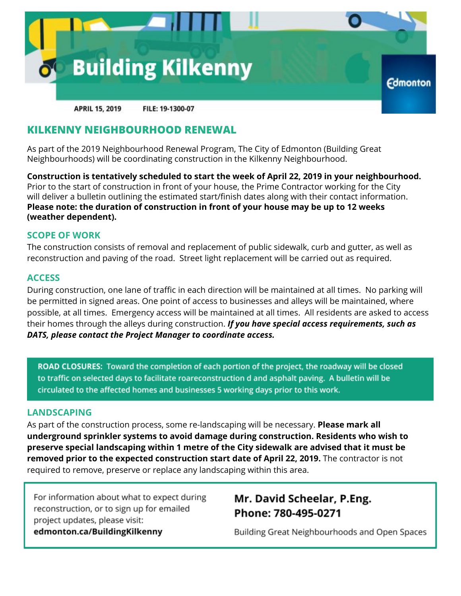

### **KILKENNY NEIGHBOURHOOD RENEWAL**

As part of the 2019 Neighbourhood Renewal Program, The City of Edmonton (Building Great Neighbourhoods) will be coordinating construction in the Kilkenny Neighbourhood.

**Construction is tentatively scheduled to start the week of April 22, 2019 in your neighbourhood.** Prior to the start of construction in front of your house, the Prime Contractor working for the City will deliver a bulletin outlining the estimated start/finish dates along with their contact information. **Please note: the duration of construction in front of your house may be up to 12 weeks (weather dependent).**

#### **SCOPE OF WORK**

The construction consists of removal and replacement of public sidewalk, curb and gutter, as well as reconstruction and paving of the road. Street light replacement will be carried out as required.

#### **ACCESS**

During construction, one lane of traffic in each direction will be maintained at all times. No parking will be permitted in signed areas. One point of access to businesses and alleys will be maintained, where possible, at all times. Emergency access will be maintained at all times. All residents are asked to access their homes through the alleys during construction. *If you have special access requirements, such as DATS, please contact the Project Manager to coordinate access.*

ROAD CLOSURES: Toward the completion of each portion of the project, the roadway will be closed to traffic on selected days to facilitate roareconstruction d and asphalt paving. A bulletin will be circulated to the affected homes and businesses 5 working days prior to this work.

#### **LANDSCAPING**

As part of the construction process, some re-landscaping will be necessary. **Please mark all underground sprinkler systems to avoid damage during construction. Residents who wish to preserve special landscaping within 1 metre of the City sidewalk are advised that it must be removed prior to the expected construction start date of April 22, 2019.** The contractor is not required to remove, preserve or replace any landscaping within this area.

For information about what to expect during reconstruction, or to sign up for emailed project updates, please visit: edmonton.ca/BuildingKilkenny

## Mr. David Scheelar, P.Eng. Phone: 780-495-0271

Building Great Neighbourhoods and Open Spaces